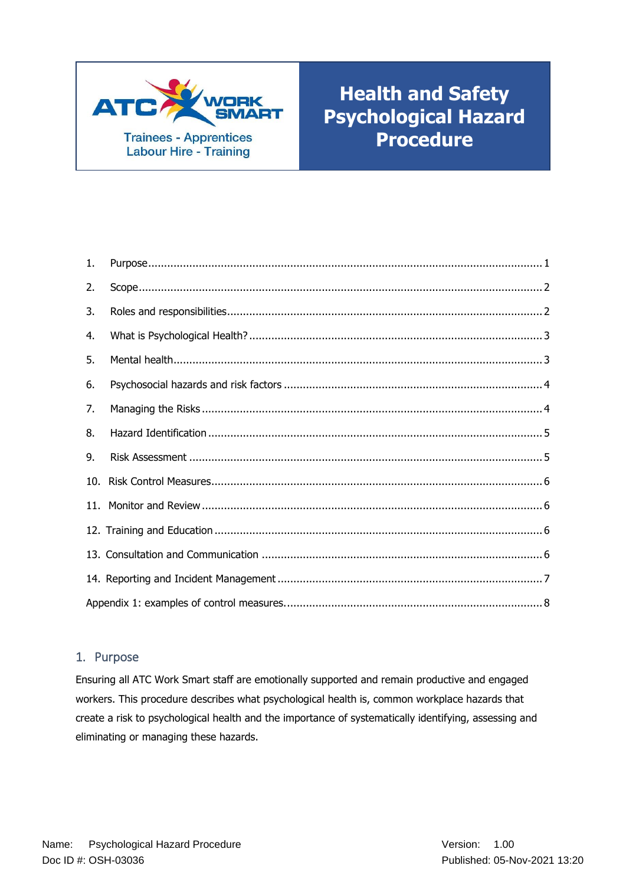

# **Health and Safety Psychological Hazard Procedure**

| 1. |  |  |  |  |
|----|--|--|--|--|
| 2. |  |  |  |  |
| 3. |  |  |  |  |
| 4. |  |  |  |  |
| 5. |  |  |  |  |
| 6. |  |  |  |  |
| 7. |  |  |  |  |
| 8. |  |  |  |  |
| 9. |  |  |  |  |
|    |  |  |  |  |
|    |  |  |  |  |
|    |  |  |  |  |
|    |  |  |  |  |
|    |  |  |  |  |
|    |  |  |  |  |

## <span id="page-0-0"></span>1. Purpose

Ensuring all ATC Work Smart staff are emotionally supported and remain productive and engaged workers. This procedure describes what psychological health is, common workplace hazards that create a risk to psychological health and the importance of systematically identifying, assessing and eliminating or managing these hazards.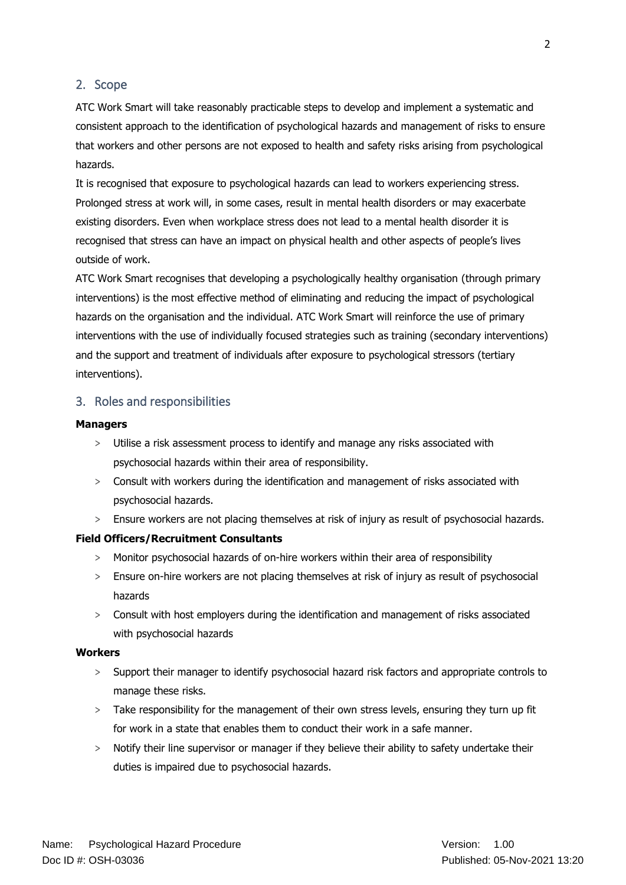#### <span id="page-1-0"></span>2. Scope

ATC Work Smart will take reasonably practicable steps to develop and implement a systematic and consistent approach to the identification of psychological hazards and management of risks to ensure that workers and other persons are not exposed to health and safety risks arising from psychological hazards.

It is recognised that exposure to psychological hazards can lead to workers experiencing stress. Prolonged stress at work will, in some cases, result in mental health disorders or may exacerbate existing disorders. Even when workplace stress does not lead to a mental health disorder it is recognised that stress can have an impact on physical health and other aspects of people's lives outside of work.

ATC Work Smart recognises that developing a psychologically healthy organisation (through primary interventions) is the most effective method of eliminating and reducing the impact of psychological hazards on the organisation and the individual. ATC Work Smart will reinforce the use of primary interventions with the use of individually focused strategies such as training (secondary interventions) and the support and treatment of individuals after exposure to psychological stressors (tertiary interventions).

#### <span id="page-1-1"></span>3. Roles and responsibilities

#### **Managers**

- > Utilise a risk assessment process to identify and manage any risks associated with psychosocial hazards within their area of responsibility.
- > Consult with workers during the identification and management of risks associated with psychosocial hazards.
- > Ensure workers are not placing themselves at risk of injury as result of psychosocial hazards.

#### **Field Officers/Recruitment Consultants**

- > Monitor psychosocial hazards of on-hire workers within their area of responsibility
- > Ensure on-hire workers are not placing themselves at risk of injury as result of psychosocial hazards
- > Consult with host employers during the identification and management of risks associated with psychosocial hazards

#### **Workers**

- > Support their manager to identify psychosocial hazard risk factors and appropriate controls to manage these risks.
- > Take responsibility for the management of their own stress levels, ensuring they turn up fit for work in a state that enables them to conduct their work in a safe manner.
- > Notify their line supervisor or manager if they believe their ability to safety undertake their duties is impaired due to psychosocial hazards.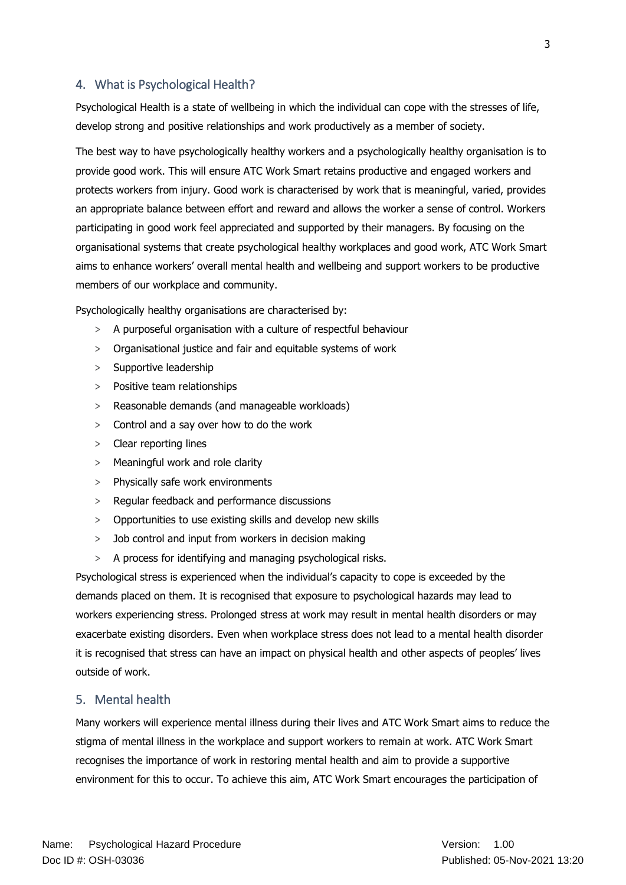## <span id="page-2-0"></span>4. What is Psychological Health?

Psychological Health is a state of wellbeing in which the individual can cope with the stresses of life, develop strong and positive relationships and work productively as a member of society.

The best way to have psychologically healthy workers and a psychologically healthy organisation is to provide good work. This will ensure ATC Work Smart retains productive and engaged workers and protects workers from injury. Good work is characterised by work that is meaningful, varied, provides an appropriate balance between effort and reward and allows the worker a sense of control. Workers participating in good work feel appreciated and supported by their managers. By focusing on the organisational systems that create psychological healthy workplaces and good work, ATC Work Smart aims to enhance workers' overall mental health and wellbeing and support workers to be productive members of our workplace and community.

Psychologically healthy organisations are characterised by:

- > A purposeful organisation with a culture of respectful behaviour
- > Organisational justice and fair and equitable systems of work
- > Supportive leadership
- > Positive team relationships
- > Reasonable demands (and manageable workloads)
- > Control and a say over how to do the work
- > Clear reporting lines
- > Meaningful work and role clarity
- > Physically safe work environments
- > Regular feedback and performance discussions
- > Opportunities to use existing skills and develop new skills
- > Job control and input from workers in decision making
- > A process for identifying and managing psychological risks.

Psychological stress is experienced when the individual's capacity to cope is exceeded by the demands placed on them. It is recognised that exposure to psychological hazards may lead to workers experiencing stress. Prolonged stress at work may result in mental health disorders or may exacerbate existing disorders. Even when workplace stress does not lead to a mental health disorder it is recognised that stress can have an impact on physical health and other aspects of peoples' lives outside of work.

#### <span id="page-2-1"></span>5. Mental health

Many workers will experience mental illness during their lives and ATC Work Smart aims to reduce the stigma of mental illness in the workplace and support workers to remain at work. ATC Work Smart recognises the importance of work in restoring mental health and aim to provide a supportive environment for this to occur. To achieve this aim, ATC Work Smart encourages the participation of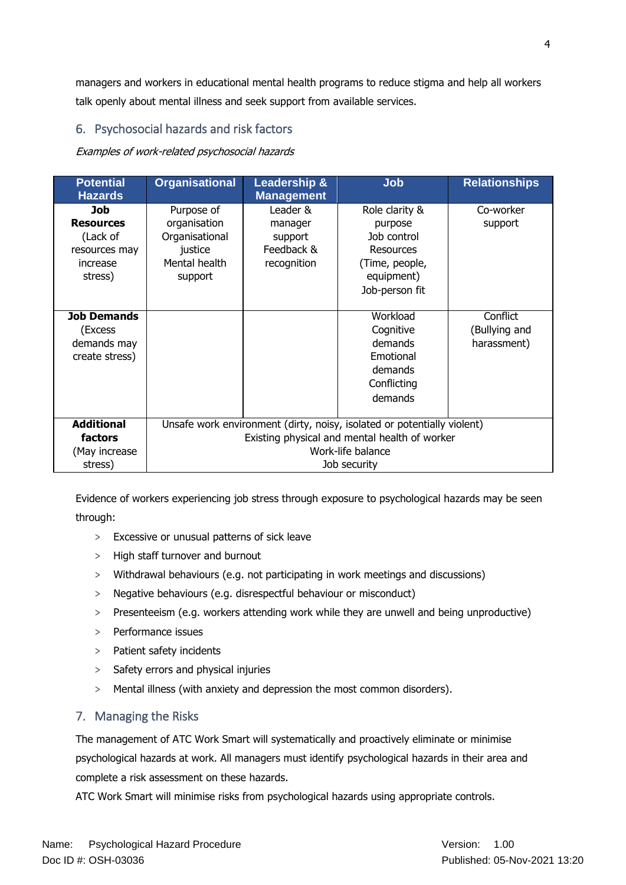managers and workers in educational mental health programs to reduce stigma and help all workers talk openly about mental illness and seek support from available services.

## <span id="page-3-0"></span>6. Psychosocial hazards and risk factors

Examples of work-related psychosocial hazards

| <b>Potential</b><br><b>Hazards</b> | <b>Organisational</b>                                                   | <b>Leadership &amp;</b><br><b>Management</b> | <b>Job</b>                                    | <b>Relationships</b> |  |
|------------------------------------|-------------------------------------------------------------------------|----------------------------------------------|-----------------------------------------------|----------------------|--|
| Job                                | Purpose of                                                              | Leader &                                     | Role clarity &                                | Co-worker            |  |
| <b>Resources</b>                   | organisation                                                            | manager                                      | purpose                                       | support              |  |
| (Lack of                           | Organisational                                                          | support                                      | Job control                                   |                      |  |
| resources may                      | justice                                                                 | Feedback &                                   | Resources                                     |                      |  |
| increase                           | Mental health                                                           | recognition                                  | (Time, people,                                |                      |  |
| stress)                            | support                                                                 |                                              | equipment)                                    |                      |  |
|                                    |                                                                         |                                              | Job-person fit                                |                      |  |
|                                    |                                                                         |                                              |                                               |                      |  |
| <b>Job Demands</b>                 |                                                                         |                                              | Workload                                      | Conflict             |  |
| (Excess                            |                                                                         |                                              | Cognitive                                     | (Bullying and        |  |
| demands may                        |                                                                         |                                              | demands                                       | harassment)          |  |
| create stress)                     |                                                                         |                                              | Emotional                                     |                      |  |
|                                    |                                                                         |                                              | demands                                       |                      |  |
|                                    |                                                                         |                                              | Conflicting                                   |                      |  |
|                                    |                                                                         |                                              | demands                                       |                      |  |
|                                    |                                                                         |                                              |                                               |                      |  |
| <b>Additional</b>                  | Unsafe work environment (dirty, noisy, isolated or potentially violent) |                                              |                                               |                      |  |
| <b>factors</b>                     |                                                                         |                                              | Existing physical and mental health of worker |                      |  |
| (May increase                      |                                                                         |                                              | Work-life balance                             |                      |  |
| stress)                            |                                                                         |                                              | Job security                                  |                      |  |

Evidence of workers experiencing job stress through exposure to psychological hazards may be seen through:

- > Excessive or unusual patterns of sick leave
- > High staff turnover and burnout
- > Withdrawal behaviours (e.g. not participating in work meetings and discussions)
- > Negative behaviours (e.g. disrespectful behaviour or misconduct)
- > Presenteeism (e.g. workers attending work while they are unwell and being unproductive)
- > Performance issues
- > Patient safety incidents
- > Safety errors and physical injuries
- > Mental illness (with anxiety and depression the most common disorders).

## <span id="page-3-1"></span>7. Managing the Risks

The management of ATC Work Smart will systematically and proactively eliminate or minimise psychological hazards at work. All managers must identify psychological hazards in their area and complete a risk assessment on these hazards.

ATC Work Smart will minimise risks from psychological hazards using appropriate controls.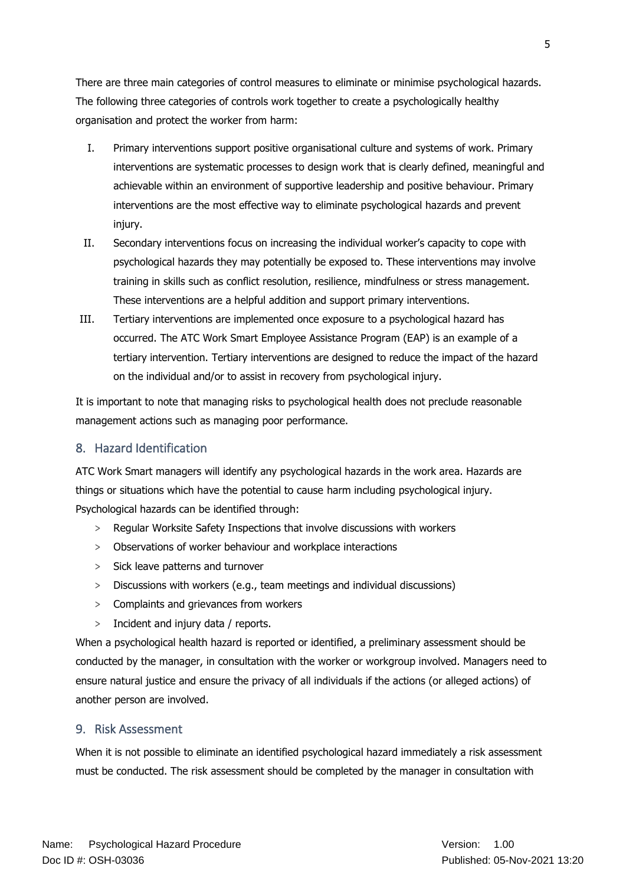There are three main categories of control measures to eliminate or minimise psychological hazards. The following three categories of controls work together to create a psychologically healthy organisation and protect the worker from harm:

- I. Primary interventions support positive organisational culture and systems of work. Primary interventions are systematic processes to design work that is clearly defined, meaningful and achievable within an environment of supportive leadership and positive behaviour. Primary interventions are the most effective way to eliminate psychological hazards and prevent injury.
- II. Secondary interventions focus on increasing the individual worker's capacity to cope with psychological hazards they may potentially be exposed to. These interventions may involve training in skills such as conflict resolution, resilience, mindfulness or stress management. These interventions are a helpful addition and support primary interventions.
- III. Tertiary interventions are implemented once exposure to a psychological hazard has occurred. The ATC Work Smart Employee Assistance Program (EAP) is an example of a tertiary intervention. Tertiary interventions are designed to reduce the impact of the hazard on the individual and/or to assist in recovery from psychological injury.

It is important to note that managing risks to psychological health does not preclude reasonable management actions such as managing poor performance.

## <span id="page-4-0"></span>8. Hazard Identification

ATC Work Smart managers will identify any psychological hazards in the work area. Hazards are things or situations which have the potential to cause harm including psychological injury. Psychological hazards can be identified through:

- > Regular Worksite Safety Inspections that involve discussions with workers
- > Observations of worker behaviour and workplace interactions
- > Sick leave patterns and turnover
- > Discussions with workers (e.g., team meetings and individual discussions)
- > Complaints and grievances from workers
- > Incident and injury data / reports.

When a psychological health hazard is reported or identified, a preliminary assessment should be conducted by the manager, in consultation with the worker or workgroup involved. Managers need to ensure natural justice and ensure the privacy of all individuals if the actions (or alleged actions) of another person are involved.

## <span id="page-4-1"></span>9. Risk Assessment

When it is not possible to eliminate an identified psychological hazard immediately a risk assessment must be conducted. The risk assessment should be completed by the manager in consultation with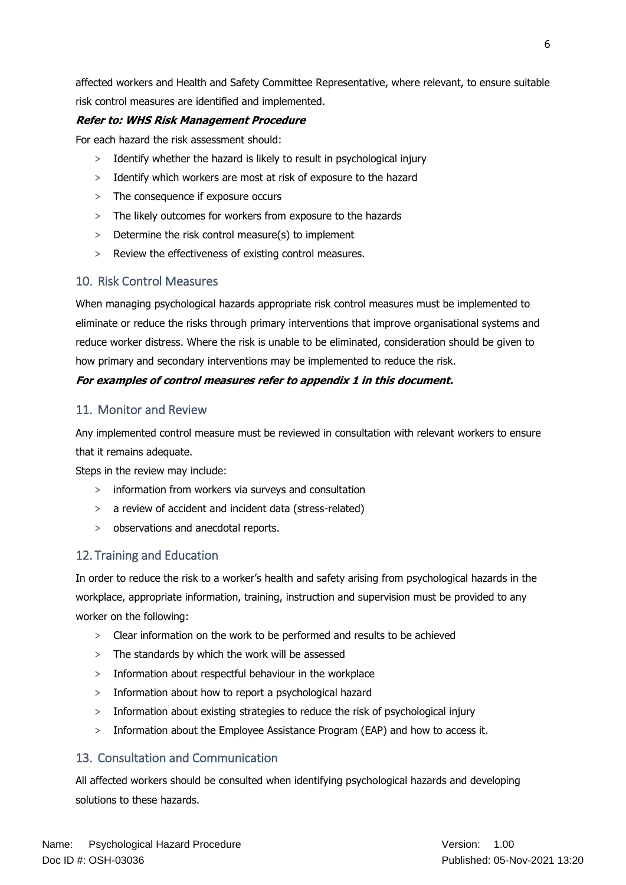affected workers and Health and Safety Committee Representative, where relevant, to ensure suitable risk control measures are identified and implemented.

## **Refer to: WHS Risk Management Procedure**

For each hazard the risk assessment should:

- > Identify whether the hazard is likely to result in psychological injury
- > Identify which workers are most at risk of exposure to the hazard
- > The consequence if exposure occurs
- > The likely outcomes for workers from exposure to the hazards
- > Determine the risk control measure(s) to implement
- > Review the effectiveness of existing control measures.

## <span id="page-5-0"></span>10. Risk Control Measures

When managing psychological hazards appropriate risk control measures must be implemented to eliminate or reduce the risks through primary interventions that improve organisational systems and reduce worker distress. Where the risk is unable to be eliminated, consideration should be given to how primary and secondary interventions may be implemented to reduce the risk.

#### **For examples of control measures refer to appendix 1 in this document.**

## <span id="page-5-1"></span>11. Monitor and Review

Any implemented control measure must be reviewed in consultation with relevant workers to ensure that it remains adequate.

Steps in the review may include:

- > information from workers via surveys and consultation
- > a review of accident and incident data (stress-related)
- > observations and anecdotal reports.

## <span id="page-5-2"></span>12. Training and Education

In order to reduce the risk to a worker's health and safety arising from psychological hazards in the workplace, appropriate information, training, instruction and supervision must be provided to any worker on the following:

- > Clear information on the work to be performed and results to be achieved
- > The standards by which the work will be assessed
- > Information about respectful behaviour in the workplace
- > Information about how to report a psychological hazard
- > Information about existing strategies to reduce the risk of psychological injury
- > Information about the Employee Assistance Program (EAP) and how to access it.

## <span id="page-5-3"></span>13. Consultation and Communication

All affected workers should be consulted when identifying psychological hazards and developing solutions to these hazards.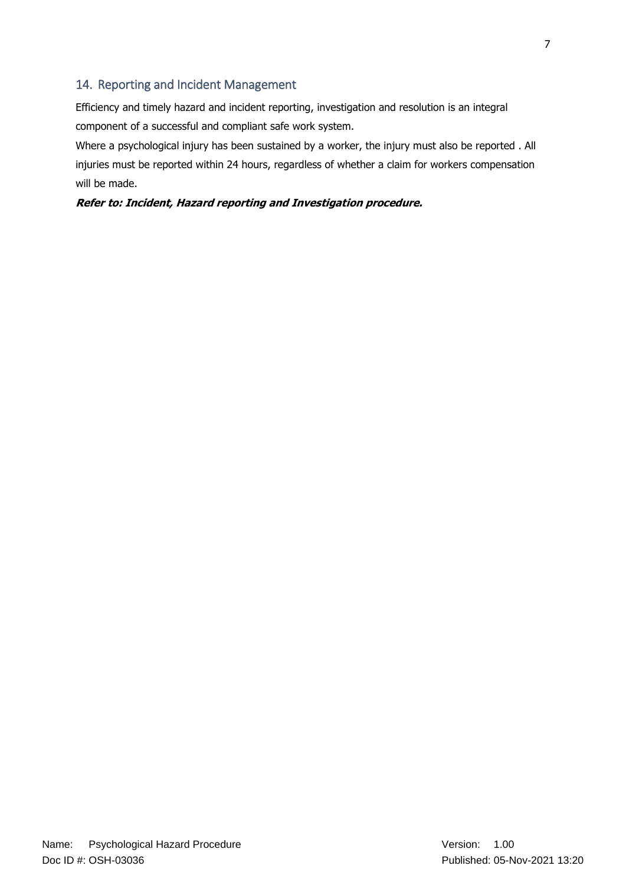## <span id="page-6-0"></span>14. Reporting and Incident Management

Efficiency and timely hazard and incident reporting, investigation and resolution is an integral component of a successful and compliant safe work system.

Where a psychological injury has been sustained by a worker, the injury must also be reported . All injuries must be reported within 24 hours, regardless of whether a claim for workers compensation will be made.

**Refer to: Incident, Hazard reporting and Investigation procedure.**